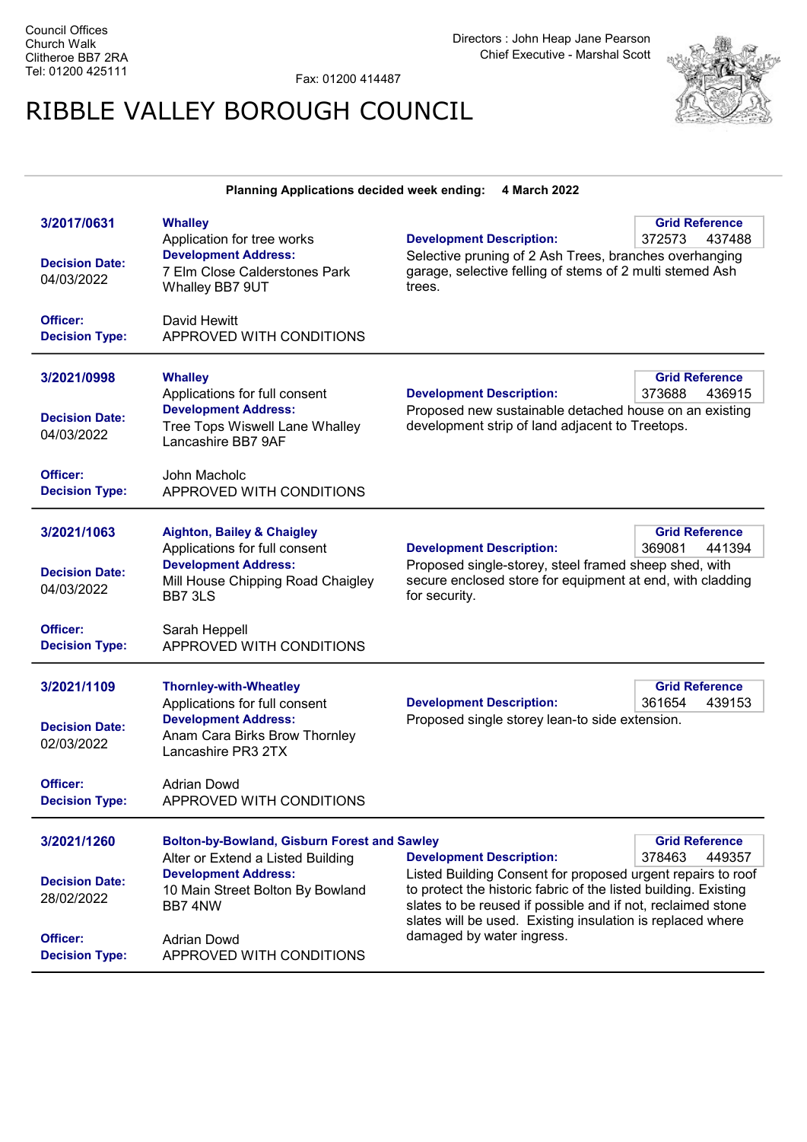Fax: 01200 414487

## RIBBLE VALLEY BOROUGH COUNCIL



| Planning Applications decided week ending:<br>4 March 2022                              |                                                                                                                                                                                                                          |                                                                                                                                                                                                                                                                                                                             |                                           |  |  |
|-----------------------------------------------------------------------------------------|--------------------------------------------------------------------------------------------------------------------------------------------------------------------------------------------------------------------------|-----------------------------------------------------------------------------------------------------------------------------------------------------------------------------------------------------------------------------------------------------------------------------------------------------------------------------|-------------------------------------------|--|--|
| 3/2017/0631<br><b>Decision Date:</b><br>04/03/2022<br>Officer:<br><b>Decision Type:</b> | <b>Whalley</b><br>Application for tree works<br><b>Development Address:</b><br>7 Elm Close Calderstones Park<br>Whalley BB7 9UT<br>David Hewitt<br>APPROVED WITH CONDITIONS                                              | <b>Development Description:</b><br>Selective pruning of 2 Ash Trees, branches overhanging<br>garage, selective felling of stems of 2 multi stemed Ash<br>trees.                                                                                                                                                             | <b>Grid Reference</b><br>372573<br>437488 |  |  |
| 3/2021/0998<br><b>Decision Date:</b><br>04/03/2022<br>Officer:<br><b>Decision Type:</b> | <b>Whalley</b><br>Applications for full consent<br><b>Development Address:</b><br>Tree Tops Wiswell Lane Whalley<br>Lancashire BB7 9AF<br>John Macholc<br>APPROVED WITH CONDITIONS                                       | <b>Development Description:</b><br>Proposed new sustainable detached house on an existing<br>development strip of land adjacent to Treetops.                                                                                                                                                                                | <b>Grid Reference</b><br>373688<br>436915 |  |  |
| 3/2021/1063<br><b>Decision Date:</b><br>04/03/2022<br>Officer:<br><b>Decision Type:</b> | <b>Aighton, Bailey &amp; Chaigley</b><br>Applications for full consent<br><b>Development Address:</b><br>Mill House Chipping Road Chaigley<br>BB7 3LS<br>Sarah Heppell<br>APPROVED WITH CONDITIONS                       | <b>Development Description:</b><br>Proposed single-storey, steel framed sheep shed, with<br>secure enclosed store for equipment at end, with cladding<br>for security.                                                                                                                                                      | <b>Grid Reference</b><br>369081<br>441394 |  |  |
| 3/2021/1109<br><b>Decision Date:</b><br>02/03/2022<br>Officer:<br><b>Decision Type:</b> | <b>Thornley-with-Wheatley</b><br>Applications for full consent<br><b>Development Address:</b><br>Anam Cara Birks Brow Thornley<br>Lancashire PR3 2TX<br><b>Adrian Dowd</b><br>APPROVED WITH CONDITIONS                   | <b>Development Description:</b><br>Proposed single storey lean-to side extension.                                                                                                                                                                                                                                           | <b>Grid Reference</b><br>361654<br>439153 |  |  |
| 3/2021/1260<br><b>Decision Date:</b><br>28/02/2022<br>Officer:<br><b>Decision Type:</b> | <b>Bolton-by-Bowland, Gisburn Forest and Sawley</b><br>Alter or Extend a Listed Building<br><b>Development Address:</b><br>10 Main Street Bolton By Bowland<br>BB7 4NW<br><b>Adrian Dowd</b><br>APPROVED WITH CONDITIONS | <b>Development Description:</b><br>Listed Building Consent for proposed urgent repairs to roof<br>to protect the historic fabric of the listed building. Existing<br>slates to be reused if possible and if not, reclaimed stone<br>slates will be used. Existing insulation is replaced where<br>damaged by water ingress. | <b>Grid Reference</b><br>378463<br>449357 |  |  |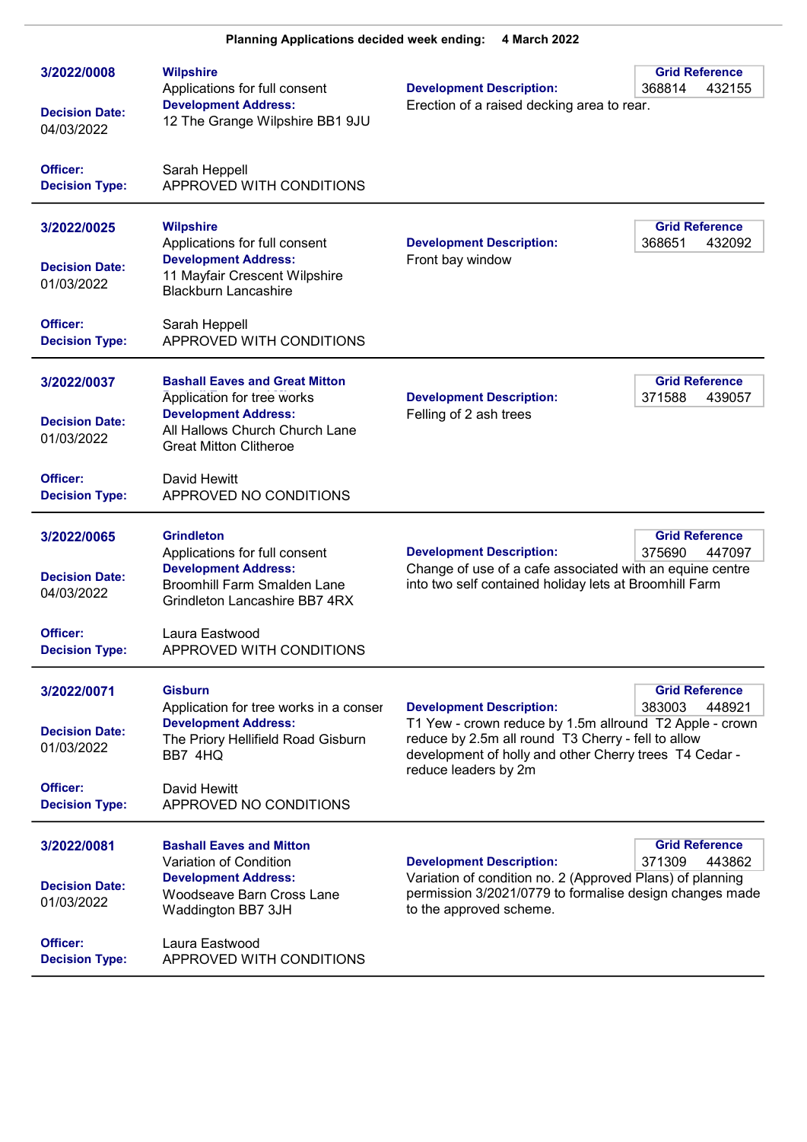| 3/2022/0008<br><b>Decision Date:</b><br>04/03/2022             | <b>Wilpshire</b><br>Applications for full consent<br><b>Development Address:</b><br>12 The Grange Wilpshire BB1 9JU                                                   | <b>Development Description:</b><br>Erection of a raised decking area to rear.                                                                                                                                                      | <b>Grid Reference</b><br>368814<br>432155 |
|----------------------------------------------------------------|-----------------------------------------------------------------------------------------------------------------------------------------------------------------------|------------------------------------------------------------------------------------------------------------------------------------------------------------------------------------------------------------------------------------|-------------------------------------------|
| Officer:<br><b>Decision Type:</b>                              | Sarah Heppell<br>APPROVED WITH CONDITIONS                                                                                                                             |                                                                                                                                                                                                                                    |                                           |
| 3/2022/0025<br><b>Decision Date:</b><br>01/03/2022             | <b>Wilpshire</b><br>Applications for full consent<br><b>Development Address:</b><br>11 Mayfair Crescent Wilpshire<br><b>Blackburn Lancashire</b>                      | <b>Development Description:</b><br>Front bay window                                                                                                                                                                                | <b>Grid Reference</b><br>368651<br>432092 |
| Officer:<br><b>Decision Type:</b>                              | Sarah Heppell<br>APPROVED WITH CONDITIONS                                                                                                                             |                                                                                                                                                                                                                                    |                                           |
| 3/2022/0037<br><b>Decision Date:</b><br>01/03/2022             | <b>Bashall Eaves and Great Mitton</b><br>Application for tree works<br><b>Development Address:</b><br>All Hallows Church Church Lane<br><b>Great Mitton Clitheroe</b> | <b>Development Description:</b><br>Felling of 2 ash trees                                                                                                                                                                          | <b>Grid Reference</b><br>371588<br>439057 |
| Officer:<br><b>Decision Type:</b>                              | David Hewitt<br>APPROVED NO CONDITIONS                                                                                                                                |                                                                                                                                                                                                                                    |                                           |
| 3/2022/0065<br><b>Decision Date:</b><br>04/03/2022             | <b>Grindleton</b><br>Applications for full consent<br><b>Development Address:</b><br>Broomhill Farm Smalden Lane<br>Grindleton Lancashire BB7 4RX                     | <b>Grid Reference</b><br><b>Development Description:</b><br>375690<br>447097<br>Change of use of a cafe associated with an equine centre<br>into two self contained holiday lets at Broomhill Farm                                 |                                           |
| Officer:<br><b>Decision Type:</b>                              | Laura Eastwood<br>APPROVED WITH CONDITIONS                                                                                                                            |                                                                                                                                                                                                                                    |                                           |
| 3/2022/0071<br><b>Decision Date:</b><br>01/03/2022<br>Officer: | <b>Gisburn</b><br>Application for tree works in a conser<br><b>Development Address:</b><br>The Priory Hellifield Road Gisburn<br>BB7 4HQ<br>David Hewitt              | <b>Development Description:</b><br>T1 Yew - crown reduce by 1.5m allround T2 Apple - crown<br>reduce by 2.5m all round T3 Cherry - fell to allow<br>development of holly and other Cherry trees T4 Cedar -<br>reduce leaders by 2m | <b>Grid Reference</b><br>383003<br>448921 |
| <b>Decision Type:</b>                                          | APPROVED NO CONDITIONS                                                                                                                                                |                                                                                                                                                                                                                                    |                                           |
| 3/2022/0081<br><b>Decision Date:</b><br>01/03/2022             | <b>Bashall Eaves and Mitton</b><br>Variation of Condition<br><b>Development Address:</b><br>Woodseave Barn Cross Lane<br>Waddington BB7 3JH                           | <b>Development Description:</b><br>Variation of condition no. 2 (Approved Plans) of planning<br>permission 3/2021/0779 to formalise design changes made<br>to the approved scheme.                                                 | <b>Grid Reference</b><br>371309<br>443862 |
| Officer:<br><b>Decision Type:</b>                              | Laura Eastwood<br>APPROVED WITH CONDITIONS                                                                                                                            |                                                                                                                                                                                                                                    |                                           |